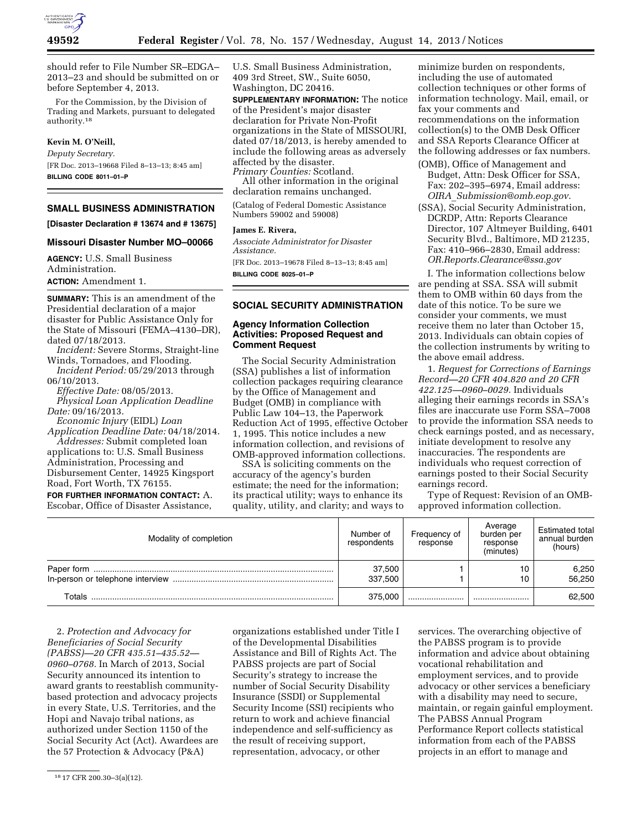

should refer to File Number SR–EDGA– 2013–23 and should be submitted on or before September 4, 2013.

For the Commission, by the Division of Trading and Markets, pursuant to delegated authority.18

## **Kevin M. O'Neill,**

*Deputy Secretary.*  [FR Doc. 2013–19668 Filed 8–13–13; 8:45 am] **BILLING CODE 8011–01–P** 

# **SMALL BUSINESS ADMINISTRATION**

**[Disaster Declaration # 13674 and # 13675]** 

### **Missouri Disaster Number MO–00066**

**AGENCY:** U.S. Small Business Administration. **ACTION:** Amendment 1.

**SUMMARY:** This is an amendment of the Presidential declaration of a major disaster for Public Assistance Only for the State of Missouri (FEMA–4130–DR), dated 07/18/2013.

*Incident:* Severe Storms, Straight-line Winds, Tornadoes, and Flooding.

*Incident Period:* 05/29/2013 through 06/10/2013.

*Effective Date:* 08/05/2013.

*Physical Loan Application Deadline Date:* 09/16/2013.

*Economic Injury* (EIDL) *Loan Application Deadline Date:* 04/18/2014.

*Addresses:* Submit completed loan applications to: U.S. Small Business Administration, Processing and Disbursement Center, 14925 Kingsport Road, Fort Worth, TX 76155.

**FOR FURTHER INFORMATION CONTACT:** A. Escobar, Office of Disaster Assistance,

U.S. Small Business Administration, 409 3rd Street, SW., Suite 6050, Washington, DC 20416.

**SUPPLEMENTARY INFORMATION:** The notice of the President's major disaster declaration for Private Non-Profit organizations in the State of MISSOURI, dated 07/18/2013, is hereby amended to include the following areas as adversely affected by the disaster. *Primary Counties:* Scotland.

All other information in the original declaration remains unchanged.

(Catalog of Federal Domestic Assistance Numbers 59002 and 59008)

### **James E. Rivera,**

*Associate Administrator for Disaster Assistance.* 

[FR Doc. 2013–19678 Filed 8–13–13; 8:45 am] **BILLING CODE 8025–01–P** 

#### **SOCIAL SECURITY ADMINISTRATION**

### **Agency Information Collection Activities: Proposed Request and Comment Request**

The Social Security Administration (SSA) publishes a list of information collection packages requiring clearance by the Office of Management and Budget (OMB) in compliance with Public Law 104–13, the Paperwork Reduction Act of 1995, effective October 1, 1995. This notice includes a new information collection, and revisions of OMB-approved information collections.

SSA is soliciting comments on the accuracy of the agency's burden estimate; the need for the information; its practical utility; ways to enhance its quality, utility, and clarity; and ways to

minimize burden on respondents, including the use of automated collection techniques or other forms of information technology. Mail, email, or fax your comments and recommendations on the information collection(s) to the OMB Desk Officer and SSA Reports Clearance Officer at the following addresses or fax numbers.

- (OMB), Office of Management and Budget, Attn: Desk Officer for SSA, Fax: 202–395–6974, Email address: *OIRA*\_*[Submission@omb.eop.gov](mailto:OIRA_Submission@omb.eop.gov)*.
- (SSA), Social Security Administration, DCRDP, Attn: Reports Clearance Director, 107 Altmeyer Building, 6401 Security Blvd., Baltimore, MD 21235, Fax: 410–966–2830, Email address: *[OR.Reports.Clearance@ssa.gov](mailto:OR.Reports.Clearance@ssa.gov)*

I. The information collections below are pending at SSA. SSA will submit them to OMB within 60 days from the date of this notice. To be sure we consider your comments, we must receive them no later than October 15, 2013. Individuals can obtain copies of the collection instruments by writing to the above email address.

1. *Request for Corrections of Earnings Record—20 CFR 404.820 and 20 CFR 422.125—0960–0029.* Individuals alleging their earnings records in SSA's files are inaccurate use Form SSA–7008 to provide the information SSA needs to check earnings posted, and as necessary, initiate development to resolve any inaccuracies. The respondents are individuals who request correction of earnings posted to their Social Security earnings record.

Type of Request: Revision of an OMBapproved information collection.

| Modality of completion | Number of<br>respondents | Frequency of<br>response | Average<br>burden per<br>response<br>(minutes) | <b>Estimated total</b><br>annual burden<br>(hours) |
|------------------------|--------------------------|--------------------------|------------------------------------------------|----------------------------------------------------|
|                        | 37,500<br>337.500        |                          |                                                | 6,250<br>56.250                                    |
| Totals                 | 375,000                  |                          |                                                | 62,500                                             |

organizations established under Title I of the Developmental Disabilities Assistance and Bill of Rights Act. The

2. *Protection and Advocacy for Beneficiaries of Social Security (PABSS)—20 CFR 435.51–435.52— 0960–0768.* In March of 2013, Social Security announced its intention to award grants to reestablish communitybased protection and advocacy projects in every State, U.S. Territories, and the Hopi and Navajo tribal nations, as authorized under Section 1150 of the Social Security Act (Act). Awardees are the 57 Protection & Advocacy (P&A)

PABSS projects are part of Social Security's strategy to increase the number of Social Security Disability Insurance (SSDI) or Supplemental Security Income (SSI) recipients who return to work and achieve financial independence and self-sufficiency as the result of receiving support, representation, advocacy, or other

services. The overarching objective of the PABSS program is to provide information and advice about obtaining vocational rehabilitation and employment services, and to provide advocacy or other services a beneficiary with a disability may need to secure, maintain, or regain gainful employment. The PABSS Annual Program Performance Report collects statistical information from each of the PABSS projects in an effort to manage and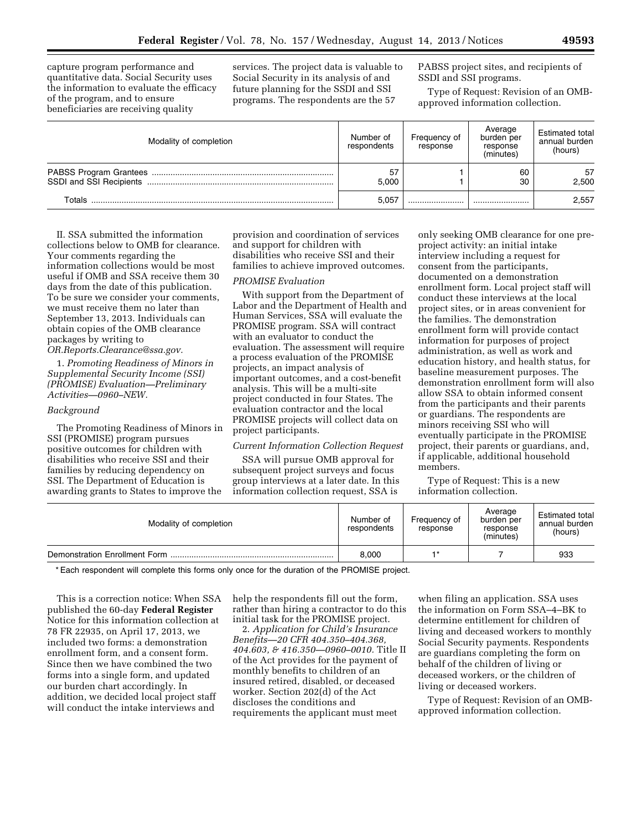capture program performance and quantitative data. Social Security uses the information to evaluate the efficacy of the program, and to ensure beneficiaries are receiving quality

services. The project data is valuable to Social Security in its analysis of and future planning for the SSDI and SSI programs. The respondents are the 57

PABSS project sites, and recipients of SSDI and SSI programs.

Type of Request: Revision of an OMBapproved information collection.

| Modality of completion | Number of<br>respondents | Frequency of<br>response | Average<br>burden per<br>response<br>(minutes) | Estimated total<br>annual burden<br>(hours) |
|------------------------|--------------------------|--------------------------|------------------------------------------------|---------------------------------------------|
|                        | 57<br>5.000              |                          | 60<br>30                                       | 57<br>2.500                                 |
| Totals                 | 5,057                    |                          |                                                | 2,557                                       |

II. SSA submitted the information collections below to OMB for clearance. Your comments regarding the information collections would be most useful if OMB and SSA receive them 30 days from the date of this publication. To be sure we consider your comments, we must receive them no later than September 13, 2013. Individuals can obtain copies of the OMB clearance packages by writing to *[OR.Reports.Clearance@ssa.gov.](mailto:OR.Reports.Clearance@ssa.gov)* 

1. *Promoting Readiness of Minors in Supplemental Security Income (SSI) (PROMISE) Evaluation—Preliminary Activities—0960–NEW.* 

#### *Background*

The Promoting Readiness of Minors in SSI (PROMISE) program pursues positive outcomes for children with disabilities who receive SSI and their families by reducing dependency on SSI. The Department of Education is awarding grants to States to improve the

provision and coordination of services and support for children with disabilities who receive SSI and their families to achieve improved outcomes.

## *PROMISE Evaluation*

With support from the Department of Labor and the Department of Health and Human Services, SSA will evaluate the PROMISE program. SSA will contract with an evaluator to conduct the evaluation. The assessment will require a process evaluation of the PROMISE projects, an impact analysis of important outcomes, and a cost-benefit analysis. This will be a multi-site project conducted in four States. The evaluation contractor and the local PROMISE projects will collect data on project participants.

## *Current Information Collection Request*

SSA will pursue OMB approval for subsequent project surveys and focus group interviews at a later date. In this information collection request, SSA is

only seeking OMB clearance for one preproject activity: an initial intake interview including a request for consent from the participants, documented on a demonstration enrollment form. Local project staff will conduct these interviews at the local project sites, or in areas convenient for the families. The demonstration enrollment form will provide contact information for purposes of project administration, as well as work and education history, and health status, for baseline measurement purposes. The demonstration enrollment form will also allow SSA to obtain informed consent from the participants and their parents or guardians. The respondents are minors receiving SSI who will eventually participate in the PROMISE project, their parents or guardians, and, if applicable, additional household members.

Type of Request: This is a new information collection.

| Modality of completion | Number of<br>respondents | Frequency of<br>response | Average<br>burden per<br>response<br>(minutes) | <b>Estimated total</b><br>annual burden<br>(hours) |
|------------------------|--------------------------|--------------------------|------------------------------------------------|----------------------------------------------------|
|                        | 8,000                    |                          |                                                | 933                                                |

\* Each respondent will complete this forms only once for the duration of the PROMISE project.

This is a correction notice: When SSA published the 60-day **Federal Register**  Notice for this information collection at 78 FR 22935, on April 17, 2013, we included two forms: a demonstration enrollment form, and a consent form. Since then we have combined the two forms into a single form, and updated our burden chart accordingly. In addition, we decided local project staff will conduct the intake interviews and

help the respondents fill out the form, rather than hiring a contractor to do this initial task for the PROMISE project.

2. *Application for Child's Insurance Benefits—20 CFR 404.350–404.368, 404.603, & 416.350—0960–0010.* Title II of the Act provides for the payment of monthly benefits to children of an insured retired, disabled, or deceased worker. Section 202(d) of the Act discloses the conditions and requirements the applicant must meet

when filing an application. SSA uses the information on Form SSA–4–BK to determine entitlement for children of living and deceased workers to monthly Social Security payments. Respondents are guardians completing the form on behalf of the children of living or deceased workers, or the children of living or deceased workers.

Type of Request: Revision of an OMBapproved information collection.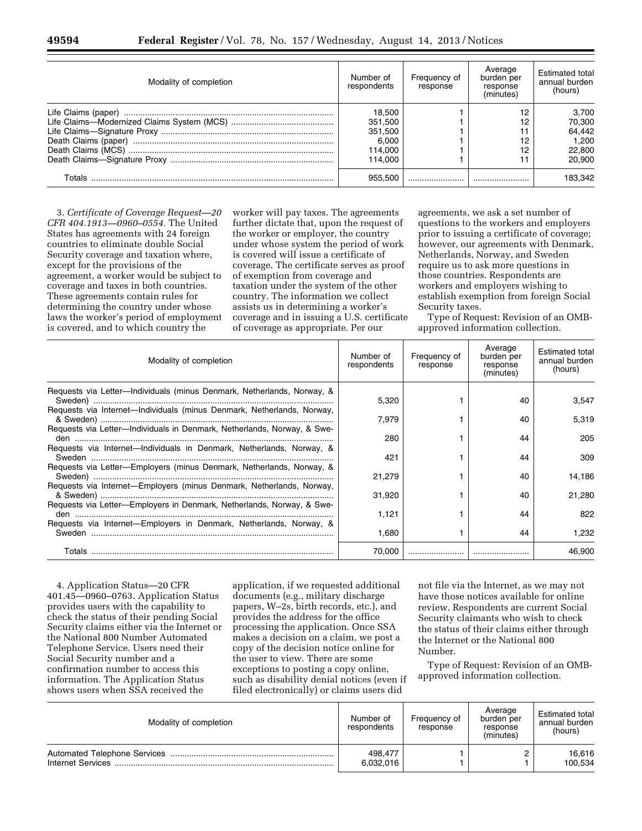| Modality of completion | Number of<br>respondents                                    | Frequency of<br>response | Average<br>burden per<br>response<br>(minutes) | Estimated total<br>annual burden<br>(hours)            |
|------------------------|-------------------------------------------------------------|--------------------------|------------------------------------------------|--------------------------------------------------------|
|                        | 18,500<br>351,500<br>351,500<br>6.000<br>114.000<br>114.000 |                          | 12                                             | 3,700<br>70,300<br>64.442<br>1.200<br>22,800<br>20,900 |
| Totals                 | 955.500                                                     |                          |                                                | 183.342                                                |

3. *Certificate of Coverage Request—20 CFR 404.1913—0960–0554.* The United States has agreements with 24 foreign countries to eliminate double Social Security coverage and taxation where, except for the provisions of the agreement, a worker would be subject to coverage and taxes in both countries. These agreements contain rules for determining the country under whose laws the worker's period of employment is covered, and to which country the

worker will pay taxes. The agreements further dictate that, upon the request of the worker or employer, the country under whose system the period of work is covered will issue a certificate of coverage. The certificate serves as proof of exemption from coverage and taxation under the system of the other country. The information we collect assists us in determining a worker's coverage and in issuing a U.S. certificate of coverage as appropriate. Per our

agreements, we ask a set number of questions to the workers and employers prior to issuing a certificate of coverage; however, our agreements with Denmark, Netherlands, Norway, and Sweden require us to ask more questions in those countries. Respondents are workers and employers wishing to establish exemption from foreign Social Security taxes.

Type of Request: Revision of an OMBapproved information collection.

| Modality of completion                                                       | Number of<br>respondents | Frequency of<br>response | Average<br>burden per<br>response<br>(minutes) | <b>Estimated total</b><br>annual burden<br>(hours) |
|------------------------------------------------------------------------------|--------------------------|--------------------------|------------------------------------------------|----------------------------------------------------|
| Requests via Letter-Individuals (minus Denmark, Netherlands, Norway, &       | 5,320                    |                          | 40                                             | 3.547                                              |
| Requests via Internet-Individuals (minus Denmark, Netherlands, Norway,       | 7.979                    |                          | 40                                             | 5.319                                              |
| Requests via Letter-Individuals in Denmark, Netherlands, Norway, & Swe-      | 280                      |                          | 44                                             | 205                                                |
| Requests via Internet—Individuals in Denmark, Netherlands, Norway, &         | 421                      |                          | 44                                             | 309                                                |
| Requests via Letter-Employers (minus Denmark, Netherlands, Norway, &         | 21,279                   |                          | 40                                             | 14,186                                             |
| Requests via Internet-Employers (minus Denmark, Netherlands, Norway,         | 31,920                   |                          | 40                                             | 21,280                                             |
| Requests via Letter—Employers in Denmark, Netherlands, Norway, & Swe-        | 1,121                    |                          | 44                                             | 822                                                |
| Requests via Internet—Employers in Denmark, Netherlands, Norway, &<br>Sweden | 1,680                    |                          | 44                                             | 1.232                                              |
| Totals                                                                       | 70.000                   |                          |                                                | 46,900                                             |

4. Application Status—20 CFR 401.45—0960–0763. Application Status provides users with the capability to check the status of their pending Social Security claims either via the Internet or the National 800 Number Automated Telephone Service. Users need their Social Security number and a confirmation number to access this information. The Application Status shows users when SSA received the

application, if we requested additional documents (e.g., military discharge papers, W–2s, birth records, etc.), and provides the address for the office processing the application. Once SSA makes a decision on a claim, we post a copy of the decision notice online for the user to view. There are some exceptions to posting a copy online, such as disability denial notices (even if filed electronically) or claims users did

not file via the Internet, as we may not have those notices available for online review. Respondents are current Social Security claimants who wish to check the status of their claims either through the Internet or the National 800 Number.

Type of Request: Revision of an OMBapproved information collection.

| Modality of completion | Number of<br>respondents | Frequency of<br>response | Average<br>burden per<br>response<br>(minutes) | Estimated total<br>annual burden<br>(hours) |
|------------------------|--------------------------|--------------------------|------------------------------------------------|---------------------------------------------|
| Internet Services      | 498.477<br>6,032,016     |                          |                                                | 16,616<br>100.534                           |